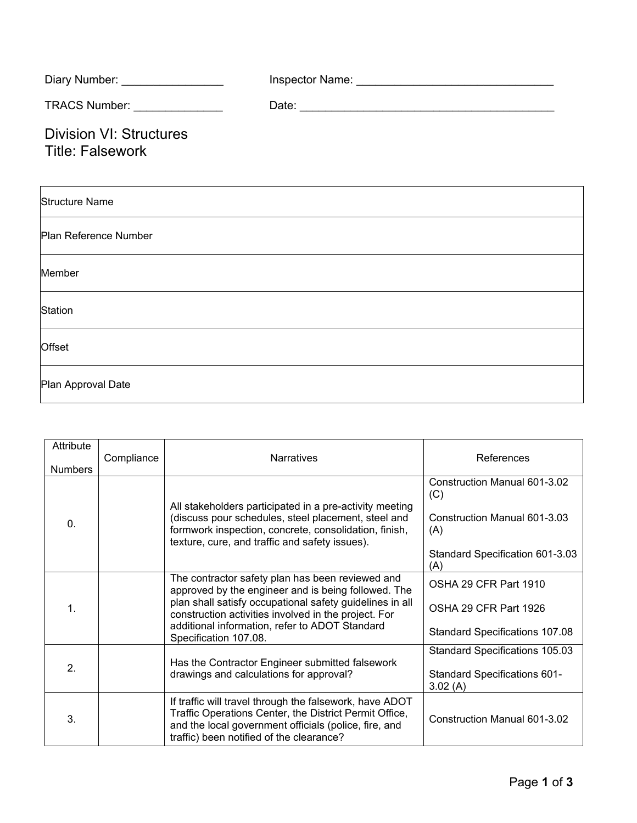| Diary Number: _________________                           |  |
|-----------------------------------------------------------|--|
| TRACS Number: _______________                             |  |
| <b>Division VI: Structures</b><br><b>Title: Falsework</b> |  |
| <b>Structure Name</b>                                     |  |
| Plan Reference Number                                     |  |
| Member                                                    |  |
| Station                                                   |  |
| Offset                                                    |  |
| Plan Approval Date                                        |  |

| Attribute<br><b>Numbers</b> | Compliance | <b>Narratives</b>                                                                                                                                                                                                                                                                                      | References                                                                                                           |
|-----------------------------|------------|--------------------------------------------------------------------------------------------------------------------------------------------------------------------------------------------------------------------------------------------------------------------------------------------------------|----------------------------------------------------------------------------------------------------------------------|
| $\mathbf{0}$ .              |            | All stakeholders participated in a pre-activity meeting<br>(discuss pour schedules, steel placement, steel and<br>formwork inspection, concrete, consolidation, finish,<br>texture, cure, and traffic and safety issues).                                                                              | Construction Manual 601-3.02<br>(C)<br>Construction Manual 601-3.03<br>(A)<br>Standard Specification 601-3.03<br>(A) |
| 1.                          |            | The contractor safety plan has been reviewed and<br>approved by the engineer and is being followed. The<br>plan shall satisfy occupational safety guidelines in all<br>construction activities involved in the project. For<br>additional information, refer to ADOT Standard<br>Specification 107.08. | OSHA 29 CFR Part 1910<br>OSHA 29 CFR Part 1926<br><b>Standard Specifications 107.08</b>                              |
| 2.                          |            | Has the Contractor Engineer submitted falsework<br>drawings and calculations for approval?                                                                                                                                                                                                             | Standard Specifications 105.03<br><b>Standard Specifications 601-</b><br>3.02(A)                                     |
| 3.                          |            | If traffic will travel through the falsework, have ADOT<br>Traffic Operations Center, the District Permit Office,<br>and the local government officials (police, fire, and<br>traffic) been notified of the clearance?                                                                                 | Construction Manual 601-3.02                                                                                         |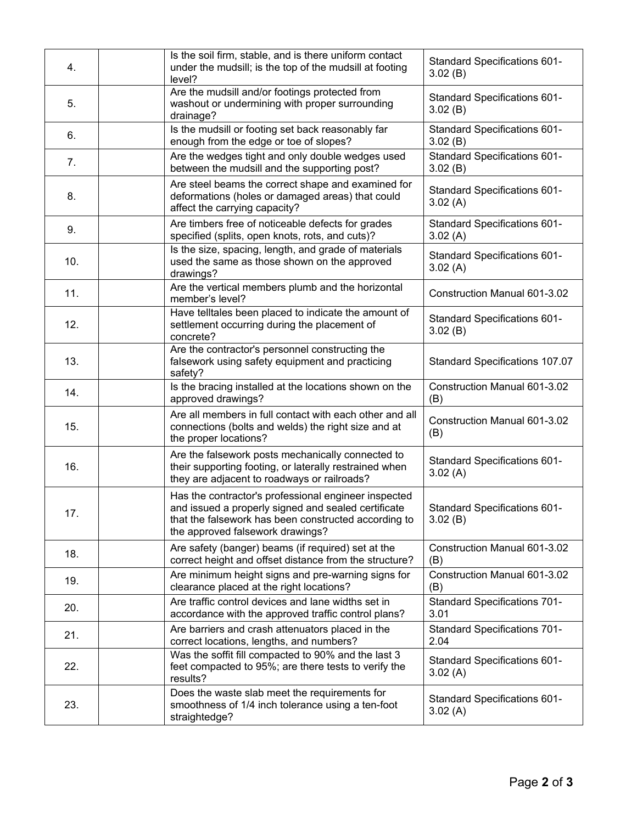| 4.  | Is the soil firm, stable, and is there uniform contact<br>under the mudsill; is the top of the mudsill at footing<br>level?                                                                             | Standard Specifications 601-<br>3.02(B)        |
|-----|---------------------------------------------------------------------------------------------------------------------------------------------------------------------------------------------------------|------------------------------------------------|
| 5.  | Are the mudsill and/or footings protected from<br>washout or undermining with proper surrounding<br>drainage?                                                                                           | Standard Specifications 601-<br>3.02(B)        |
| 6.  | Is the mudsill or footing set back reasonably far<br>enough from the edge or toe of slopes?                                                                                                             | Standard Specifications 601-<br>3.02(B)        |
| 7.  | Are the wedges tight and only double wedges used<br>between the mudsill and the supporting post?                                                                                                        | Standard Specifications 601-<br>3.02(B)        |
| 8.  | Are steel beams the correct shape and examined for<br>deformations (holes or damaged areas) that could<br>affect the carrying capacity?                                                                 | Standard Specifications 601-<br>3.02(A)        |
| 9.  | Are timbers free of noticeable defects for grades<br>specified (splits, open knots, rots, and cuts)?                                                                                                    | <b>Standard Specifications 601-</b><br>3.02(A) |
| 10. | Is the size, spacing, length, and grade of materials<br>used the same as those shown on the approved<br>drawings?                                                                                       | Standard Specifications 601-<br>3.02(A)        |
| 11. | Are the vertical members plumb and the horizontal<br>member's level?                                                                                                                                    | <b>Construction Manual 601-3.02</b>            |
| 12. | Have telltales been placed to indicate the amount of<br>settlement occurring during the placement of<br>concrete?                                                                                       | Standard Specifications 601-<br>3.02(B)        |
| 13. | Are the contractor's personnel constructing the<br>falsework using safety equipment and practicing<br>safety?                                                                                           | Standard Specifications 107.07                 |
| 14. | Is the bracing installed at the locations shown on the<br>approved drawings?                                                                                                                            | <b>Construction Manual 601-3.02</b><br>(B)     |
| 15. | Are all members in full contact with each other and all<br>connections (bolts and welds) the right size and at<br>the proper locations?                                                                 | Construction Manual 601-3.02<br>(B)            |
| 16. | Are the falsework posts mechanically connected to<br>their supporting footing, or laterally restrained when<br>they are adjacent to roadways or railroads?                                              | Standard Specifications 601-<br>3.02(A)        |
| 17. | Has the contractor's professional engineer inspected<br>and issued a properly signed and sealed certificate<br>that the falsework has been constructed according to<br>the approved falsework drawings? | <b>Standard Specifications 601-</b><br>3.02(B) |
| 18. | Are safety (banger) beams (if required) set at the<br>correct height and offset distance from the structure?                                                                                            | Construction Manual 601-3.02<br>(B)            |
| 19. | Are minimum height signs and pre-warning signs for<br>clearance placed at the right locations?                                                                                                          | <b>Construction Manual 601-3.02</b><br>(B)     |
| 20. | Are traffic control devices and lane widths set in<br>accordance with the approved traffic control plans?                                                                                               | <b>Standard Specifications 701-</b><br>3.01    |
| 21. | Are barriers and crash attenuators placed in the<br>correct locations, lengths, and numbers?                                                                                                            | <b>Standard Specifications 701-</b><br>2.04    |
| 22. | Was the soffit fill compacted to 90% and the last 3<br>feet compacted to 95%; are there tests to verify the<br>results?                                                                                 | Standard Specifications 601-<br>3.02(A)        |
| 23. | Does the waste slab meet the requirements for<br>smoothness of 1/4 inch tolerance using a ten-foot<br>straightedge?                                                                                     | <b>Standard Specifications 601-</b><br>3.02(A) |